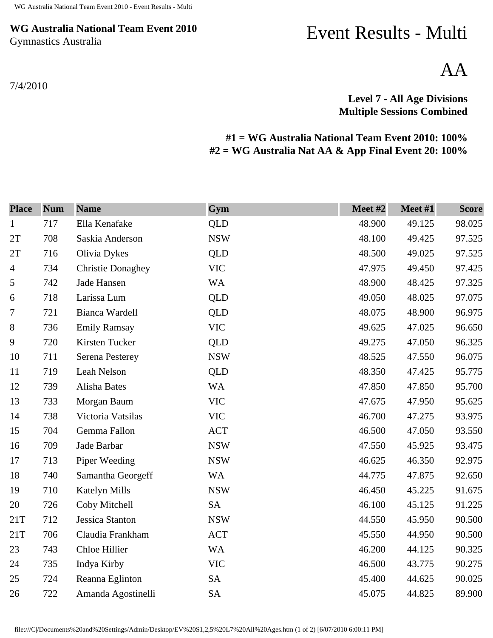## **WG Australia National Team Event 2010** Gymnastics Australia

7/4/2010

## Event Results - Multi

AA

## **Level 7 - All Age Divisions Multiple Sessions Combined**

## **#1 = WG Australia National Team Event 2010: 100% #2 = WG Australia Nat AA & App Final Event 20: 100%**

| <b>Place</b>   | <b>Num</b> | <b>Name</b>              | Gym        | Meet #2 | Meet #1 | <b>Score</b> |
|----------------|------------|--------------------------|------------|---------|---------|--------------|
| $\mathbf{1}$   | 717        | Ella Kenafake            | <b>QLD</b> | 48.900  | 49.125  | 98.025       |
| 2T             | 708        | Saskia Anderson          | <b>NSW</b> | 48.100  | 49.425  | 97.525       |
| 2T             | 716        | Olivia Dykes             | QLD        | 48.500  | 49.025  | 97.525       |
| $\overline{4}$ | 734        | <b>Christie Donaghey</b> | <b>VIC</b> | 47.975  | 49.450  | 97.425       |
| 5              | 742        | Jade Hansen              | <b>WA</b>  | 48.900  | 48.425  | 97.325       |
| 6              | 718        | Larissa Lum              | QLD        | 49.050  | 48.025  | 97.075       |
| 7              | 721        | Bianca Wardell           | QLD        | 48.075  | 48.900  | 96.975       |
| $8\,$          | 736        | <b>Emily Ramsay</b>      | <b>VIC</b> | 49.625  | 47.025  | 96.650       |
| 9              | 720        | Kirsten Tucker           | QLD        | 49.275  | 47.050  | 96.325       |
| 10             | 711        | Serena Pesterey          | <b>NSW</b> | 48.525  | 47.550  | 96.075       |
| 11             | 719        | Leah Nelson              | QLD        | 48.350  | 47.425  | 95.775       |
| 12             | 739        | Alisha Bates             | <b>WA</b>  | 47.850  | 47.850  | 95.700       |
| 13             | 733        | Morgan Baum              | <b>VIC</b> | 47.675  | 47.950  | 95.625       |
| 14             | 738        | Victoria Vatsilas        | <b>VIC</b> | 46.700  | 47.275  | 93.975       |
| 15             | 704        | Gemma Fallon             | <b>ACT</b> | 46.500  | 47.050  | 93.550       |
| 16             | 709        | Jade Barbar              | <b>NSW</b> | 47.550  | 45.925  | 93.475       |
| 17             | 713        | Piper Weeding            | <b>NSW</b> | 46.625  | 46.350  | 92.975       |
| 18             | 740        | Samantha Georgeff        | <b>WA</b>  | 44.775  | 47.875  | 92.650       |
| 19             | 710        | Katelyn Mills            | <b>NSW</b> | 46.450  | 45.225  | 91.675       |
| 20             | 726        | Coby Mitchell            | <b>SA</b>  | 46.100  | 45.125  | 91.225       |
| 21T            | 712        | <b>Jessica Stanton</b>   | <b>NSW</b> | 44.550  | 45.950  | 90.500       |
| 21T            | 706        | Claudia Frankham         | <b>ACT</b> | 45.550  | 44.950  | 90.500       |
| 23             | 743        | Chloe Hillier            | <b>WA</b>  | 46.200  | 44.125  | 90.325       |
| 24             | 735        | Indya Kirby              | <b>VIC</b> | 46.500  | 43.775  | 90.275       |
| 25             | 724        | Reanna Eglinton          | <b>SA</b>  | 45.400  | 44.625  | 90.025       |
| 26             | 722        | Amanda Agostinelli       | <b>SA</b>  | 45.075  | 44.825  | 89.900       |